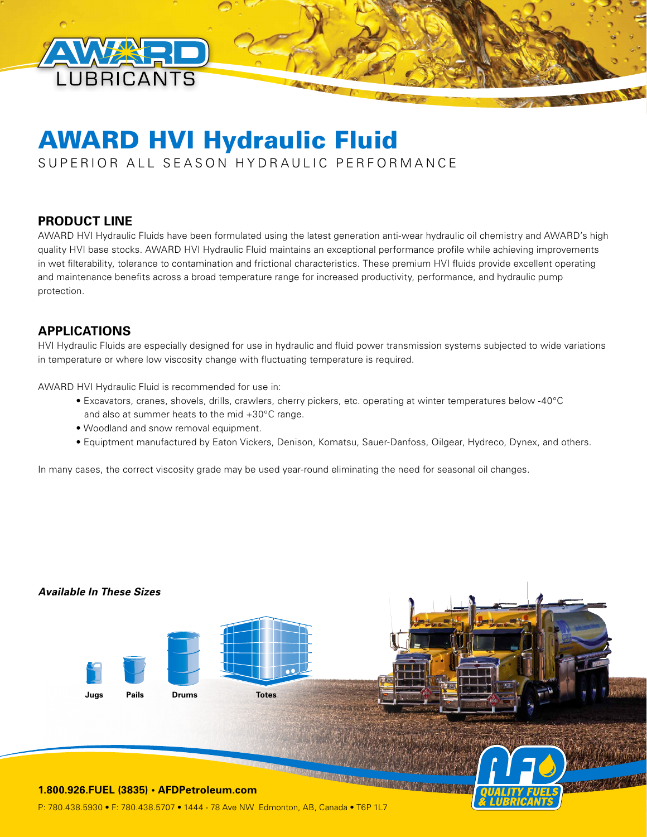

# AWARD HVI Hydraulic Fluid

SUPERIOR ALL SEASON HYDRAULIC PERFORMANCE

# **PRODUCT LINE**

AWARD HVI Hydraulic Fluids have been formulated using the latest generation anti-wear hydraulic oil chemistry and AWARD's high quality HVI base stocks. AWARD HVI Hydraulic Fluid maintains an exceptional performance profile while achieving improvements in wet filterability, tolerance to contamination and frictional characteristics. These premium HVI fluids provide excellent operating and maintenance benefits across a broad temperature range for increased productivity, performance, and hydraulic pump protection.

# **APPLICATIONS**

HVI Hydraulic Fluids are especially designed for use in hydraulic and fluid power transmission systems subjected to wide variations in temperature or where low viscosity change with fluctuating temperature is required.

AWARD HVI Hydraulic Fluid is recommended for use in:

- Excavators, cranes, shovels, drills, crawlers, cherry pickers, etc. operating at winter temperatures below -40°C and also at summer heats to the mid +30°C range.
- Woodland and snow removal equipment.
- Equiptment manufactured by Eaton Vickers, Denison, Komatsu, Sauer-Danfoss, Oilgear, Hydreco, Dynex, and others.

In many cases, the correct viscosity grade may be used year-round eliminating the need for seasonal oil changes.

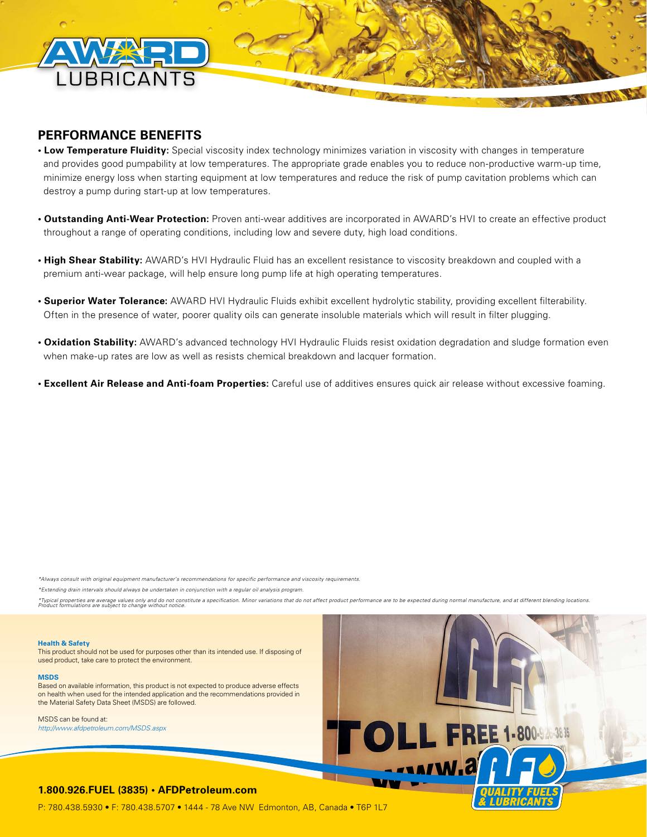

## **PERFORMANCE BENEFITS**

- **Low Temperature Fluidity:** Special viscosity index technology minimizes variation in viscosity with changes in temperature and provides good pumpability at low temperatures. The appropriate grade enables you to reduce non-productive warm-up time, minimize energy loss when starting equipment at low temperatures and reduce the risk of pump cavitation problems which can destroy a pump during start-up at low temperatures.
- **Outstanding Anti-Wear Protection:** Proven anti-wear additives are incorporated in AWARD's HVI to create an effective product throughout a range of operating conditions, including low and severe duty, high load conditions.
- **High Shear Stability:** AWARD's HVI Hydraulic Fluid has an excellent resistance to viscosity breakdown and coupled with a premium anti-wear package, will help ensure long pump life at high operating temperatures.
- **Superior Water Tolerance:** AWARD HVI Hydraulic Fluids exhibit excellent hydrolytic stability, providing excellent filterability. Often in the presence of water, poorer quality oils can generate insoluble materials which will result in filter plugging.
- **Oxidation Stability:** AWARD's advanced technology HVI Hydraulic Fluids resist oxidation degradation and sludge formation even when make-up rates are low as well as resists chemical breakdown and lacquer formation.
- **Excellent Air Release and Anti-foam Properties:** Careful use of additives ensures quick air release without excessive foaming.

*\*Always consult with original equipment manufacturer's recommendations for specific performance and viscosity requirements.* 

*\*Extending drain intervals should always be undertaken in conjunction with a regular oil analysis program.*

\*Typical properties are average values only and ono ronstitute a specification. Minor variations that do not affect product performance are to be expected during normal manufacture, and at different blending locations.<br>Pro

## **Health & Safety**

This product should not be used for purposes other than its intended use. If disposing of used product, take care to protect the environment.

#### **MSDS**

Based on available information, this product is not expected to produce adverse effects on health when used for the intended application and the recommendations provided in the Material Safety Data Sheet (MSDS) are followed.

MSDS can be found at: *http://www.afdpetroleum.com/MSDS.aspx*



## **1.800.926.FUEL (3835) • AFDPetroleum.com**

P: 780.438.5930 • F: 780.438.5707 • 1444 - 78 Ave NW Edmonton, AB, Canada • T6P 1L7